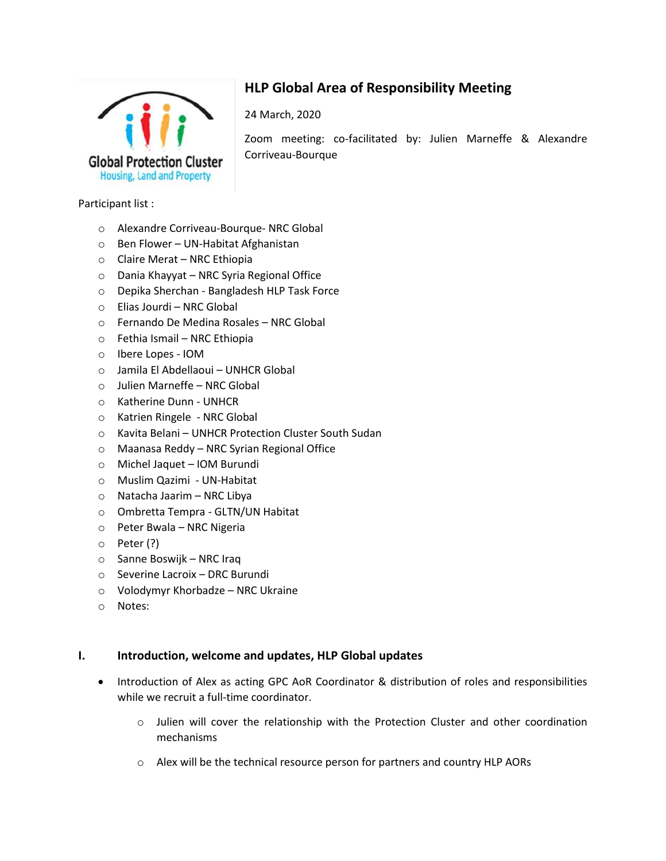

# **HLP Global Area of Responsibility Meeting**

24 March, 2020

Zoom meeting: co-facilitated by: Julien Marneffe & Alexandre Corriveau-Bourque

#### Participant list :

- o Alexandre Corriveau-Bourque- NRC Global
- o Ben Flower UN-Habitat Afghanistan
- o Claire Merat NRC Ethiopia
- o Dania Khayyat NRC Syria Regional Office
- o Depika Sherchan Bangladesh HLP Task Force
- o Elias Jourdi NRC Global
- o Fernando De Medina Rosales NRC Global
- o Fethia Ismail NRC Ethiopia
- o Ibere Lopes IOM
- o Jamila El Abdellaoui UNHCR Global
- o Julien Marneffe NRC Global
- o Katherine Dunn UNHCR
- o Katrien Ringele NRC Global
- o Kavita Belani UNHCR Protection Cluster South Sudan
- o Maanasa Reddy NRC Syrian Regional Office
- o Michel Jaquet IOM Burundi
- o Muslim Qazimi UN-Habitat
- o Natacha Jaarim NRC Libya
- o Ombretta Tempra GLTN/UN Habitat
- o Peter Bwala NRC Nigeria
- o Peter (?)
- o Sanne Boswijk NRC Iraq
- o Severine Lacroix DRC Burundi
- o Volodymyr Khorbadze NRC Ukraine
- o Notes:

#### **I. Introduction, welcome and updates, HLP Global updates**

- Introduction of Alex as acting GPC AoR Coordinator & distribution of roles and responsibilities while we recruit a full-time coordinator.
	- o Julien will cover the relationship with the Protection Cluster and other coordination mechanisms
	- o Alex will be the technical resource person for partners and country HLP AORs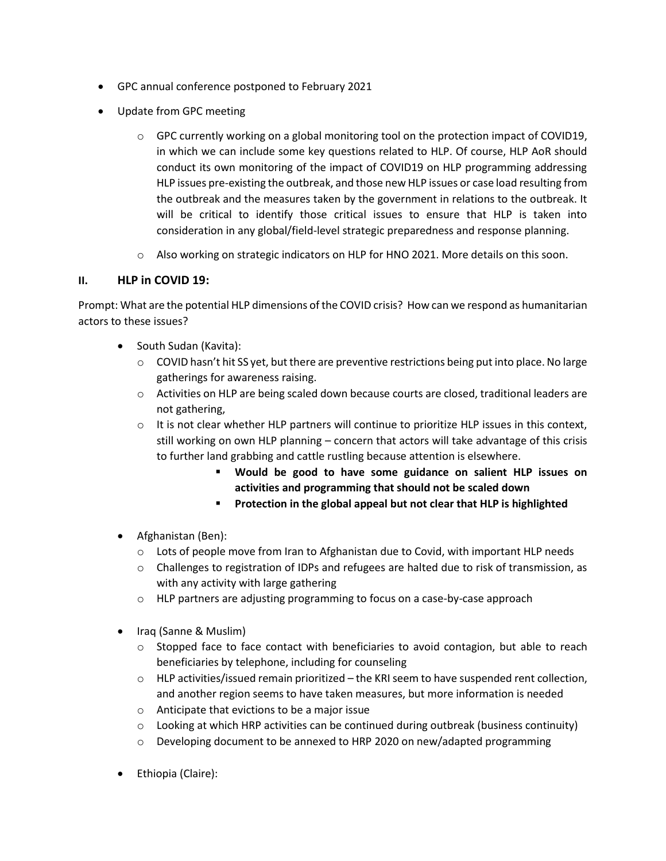- GPC annual conference postponed to February 2021
- Update from GPC meeting
	- $\circ$  GPC currently working on a global monitoring tool on the protection impact of COVID19, in which we can include some key questions related to HLP. Of course, HLP AoR should conduct its own monitoring of the impact of COVID19 on HLP programming addressing HLP issues pre-existing the outbreak, and those new HLP issues or case load resulting from the outbreak and the measures taken by the government in relations to the outbreak. It will be critical to identify those critical issues to ensure that HLP is taken into consideration in any global/field-level strategic preparedness and response planning.
	- $\circ$  Also working on strategic indicators on HLP for HNO 2021. More details on this soon.

## **II. HLP in COVID 19:**

Prompt: What are the potential HLP dimensions of the COVID crisis? How can we respond as humanitarian actors to these issues?

- South Sudan (Kavita):
	- $\circ$  COVID hasn't hit SS yet, but there are preventive restrictions being put into place. No large gatherings for awareness raising.
	- $\circ$  Activities on HLP are being scaled down because courts are closed, traditional leaders are not gathering,
	- $\circ$  It is not clear whether HLP partners will continue to prioritize HLP issues in this context, still working on own HLP planning – concern that actors will take advantage of this crisis to further land grabbing and cattle rustling because attention is elsewhere.
		- **Would be good to have some guidance on salient HLP issues on activities and programming that should not be scaled down**
		- **Protection in the global appeal but not clear that HLP is highlighted**
- Afghanistan (Ben):
	- o Lots of people move from Iran to Afghanistan due to Covid, with important HLP needs
	- o Challenges to registration of IDPs and refugees are halted due to risk of transmission, as with any activity with large gathering
	- o HLP partners are adjusting programming to focus on a case-by-case approach
- Iraq (Sanne & Muslim)
	- $\circ$  Stopped face to face contact with beneficiaries to avoid contagion, but able to reach beneficiaries by telephone, including for counseling
	- $\circ$  HLP activities/issued remain prioritized the KRI seem to have suspended rent collection, and another region seems to have taken measures, but more information is needed
	- o Anticipate that evictions to be a major issue
	- $\circ$  Looking at which HRP activities can be continued during outbreak (business continuity)
	- o Developing document to be annexed to HRP 2020 on new/adapted programming
- Ethiopia (Claire):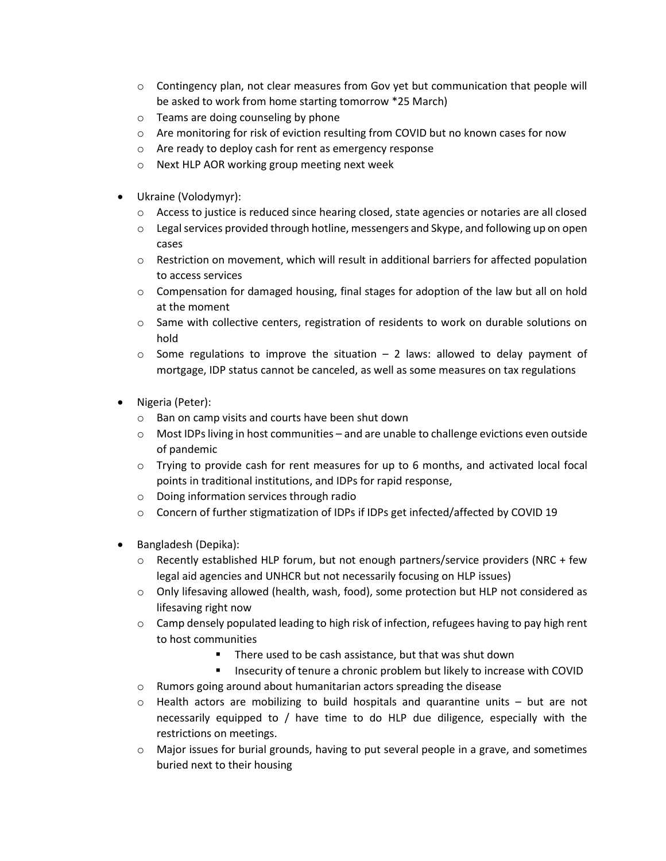- $\circ$  Contingency plan, not clear measures from Gov yet but communication that people will be asked to work from home starting tomorrow \*25 March)
- o Teams are doing counseling by phone
- $\circ$  Are monitoring for risk of eviction resulting from COVID but no known cases for now
- o Are ready to deploy cash for rent as emergency response
- o Next HLP AOR working group meeting next week
- Ukraine (Volodymyr):
	- $\circ$  Access to justice is reduced since hearing closed, state agencies or notaries are all closed
	- $\circ$  Legal services provided through hotline, messengers and Skype, and following up on open cases
	- o Restriction on movement, which will result in additional barriers for affected population to access services
	- $\circ$  Compensation for damaged housing, final stages for adoption of the law but all on hold at the moment
	- o Same with collective centers, registration of residents to work on durable solutions on hold
	- $\circ$  Some regulations to improve the situation 2 laws: allowed to delay payment of mortgage, IDP status cannot be canceled, as well as some measures on tax regulations
- Nigeria (Peter):
	- o Ban on camp visits and courts have been shut down
	- o Most IDPs living in host communities and are unable to challenge evictions even outside of pandemic
	- $\circ$  Trying to provide cash for rent measures for up to 6 months, and activated local focal points in traditional institutions, and IDPs for rapid response,
	- o Doing information services through radio
	- o Concern of further stigmatization of IDPs if IDPs get infected/affected by COVID 19
- Bangladesh (Depika):
	- o Recently established HLP forum, but not enough partners/service providers (NRC + few legal aid agencies and UNHCR but not necessarily focusing on HLP issues)
	- o Only lifesaving allowed (health, wash, food), some protection but HLP not considered as lifesaving right now
	- $\circ$  Camp densely populated leading to high risk of infection, refugees having to pay high rent to host communities
		- There used to be cash assistance, but that was shut down
		- Insecurity of tenure a chronic problem but likely to increase with COVID
	- o Rumors going around about humanitarian actors spreading the disease
	- $\circ$  Health actors are mobilizing to build hospitals and quarantine units but are not necessarily equipped to / have time to do HLP due diligence, especially with the restrictions on meetings.
	- $\circ$  Major issues for burial grounds, having to put several people in a grave, and sometimes buried next to their housing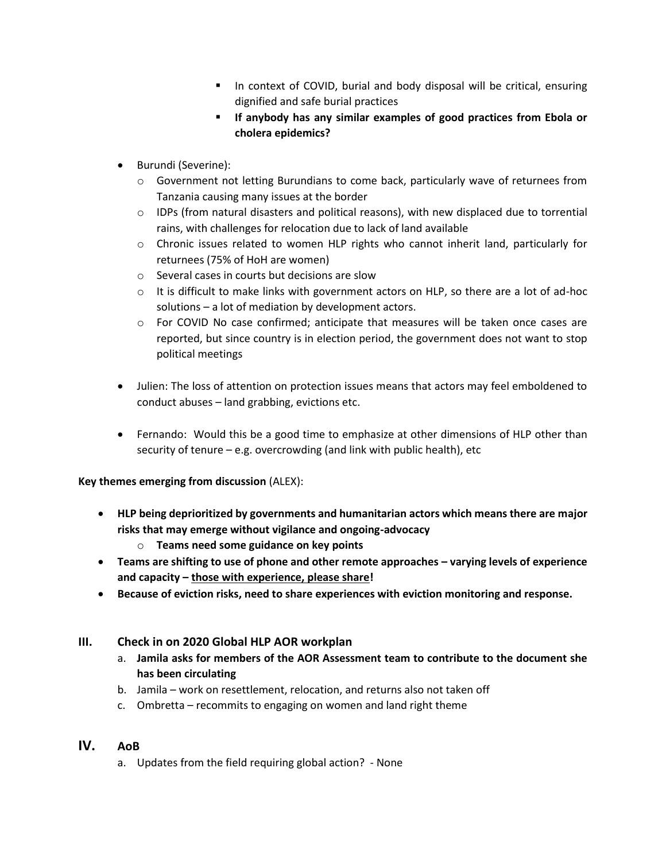- In context of COVID, burial and body disposal will be critical, ensuring dignified and safe burial practices
- **If anybody has any similar examples of good practices from Ebola or cholera epidemics?**
- Burundi (Severine):
	- o Government not letting Burundians to come back, particularly wave of returnees from Tanzania causing many issues at the border
	- $\circ$  IDPs (from natural disasters and political reasons), with new displaced due to torrential rains, with challenges for relocation due to lack of land available
	- o Chronic issues related to women HLP rights who cannot inherit land, particularly for returnees (75% of HoH are women)
	- o Several cases in courts but decisions are slow
	- o It is difficult to make links with government actors on HLP, so there are a lot of ad-hoc solutions – a lot of mediation by development actors.
	- o For COVID No case confirmed; anticipate that measures will be taken once cases are reported, but since country is in election period, the government does not want to stop political meetings
- Julien: The loss of attention on protection issues means that actors may feel emboldened to conduct abuses – land grabbing, evictions etc.
- Fernando: Would this be a good time to emphasize at other dimensions of HLP other than security of tenure – e.g. overcrowding (and link with public health), etc

**Key themes emerging from discussion** (ALEX):

- **HLP being deprioritized by governments and humanitarian actors which means there are major risks that may emerge without vigilance and ongoing-advocacy**
	- o **Teams need some guidance on key points**
- **Teams are shifting to use of phone and other remote approaches – varying levels of experience and capacity – those with experience, please share!**
- **Because of eviction risks, need to share experiences with eviction monitoring and response.**

#### **III. Check in on 2020 Global HLP AOR workplan**

- a. **Jamila asks for members of the AOR Assessment team to contribute to the document she has been circulating**
- b. Jamila work on resettlement, relocation, and returns also not taken off
- c. Ombretta recommits to engaging on women and land right theme

## **IV. AoB**

a. Updates from the field requiring global action? - None